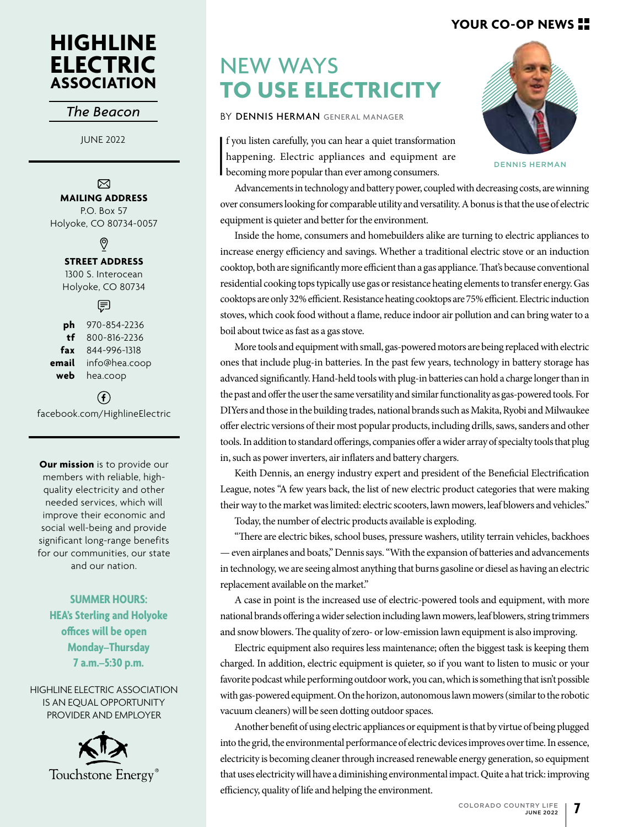## **YOUR CO-OP NEWS**

# **HIGHLINE ELECTRIC ASSOCIATION**

### *The Beacon*

JUNE 2022

### ⊠

**MAILING ADDRESS**

P.O. Box 57 Holyoke, CO 80734-0057

ଡ଼

#### **STREET ADDRESS**

1300 S. Interocean Holyoke, CO 80734

第

**ph** 970-854-2236 **tf** 800-816-2236 **fax** 844-996-1318 **email** info@hea.coop **web** hea.coop

 $\left( \widehat{\mathbf{f}}\right)$ facebook.com/HighlineElectric

**Our mission** is to provide our members with reliable, highquality electricity and other needed services, which will improve their economic and social well-being and provide significant long-range benefits for our communities, our state and our nation.

**SUMMER HOURS: HEA's Sterling and Holyoke offices will be open Monday–Thursday 7 a.m.–5:30 p.m.**

HIGHLINE ELECTRIC ASSOCIATION IS AN EQUAL OPPORTUNITY PROVIDER AND EMPLOYER



# NEW WAYS **TO USE ELECTRICITY**

BY DENNIS HERMAN GENERAL MANAGER



DENNIS HERMAN

 $\begin{bmatrix} 1 \\ 1 \\ 1 \end{bmatrix}$ f you listen carefully, you can hear a quiet transformation happening. Electric appliances and equipment are becoming more popular than ever among consumers.

Advancements in technology and battery power, coupled with decreasing costs, are winning over consumers looking for comparable utility and versatility. A bonus is that the use of electric equipment is quieter and better for the environment.

Inside the home, consumers and homebuilders alike are turning to electric appliances to increase energy efficiency and savings. Whether a traditional electric stove or an induction cooktop, both are significantly more efficient than a gas appliance. That's because conventional residential cooking tops typically use gas or resistance heating elements to transfer energy. Gas cooktops are only 32% efficient. Resistance heating cooktops are 75% efficient. Electric induction stoves, which cook food without a flame, reduce indoor air pollution and can bring water to a boil about twice as fast as a gas stove.

More tools and equipment with small, gas-powered motors are being replaced with electric ones that include plug-in batteries. In the past few years, technology in battery storage has advanced significantly. Hand-held tools with plug-in batteries can hold a charge longer than in the past and offer the user the same versatility and similar functionality as gas-powered tools. For DIYers and those in the building trades, national brands such as Makita, Ryobi and Milwaukee offer electric versions of their most popular products, including drills, saws, sanders and other tools. In addition to standard offerings, companies offer a wider array of specialty tools that plug in, such as power inverters, air inflaters and battery chargers.

Keith Dennis, an energy industry expert and president of the Beneficial Electrification League, notes "A few years back, the list of new electric product categories that were making their way to the market was limited: electric scooters, lawn mowers, leaf blowers and vehicles."

Today, the number of electric products available is exploding.

"There are electric bikes, school buses, pressure washers, utility terrain vehicles, backhoes — even airplanes and boats," Dennis says. "With the expansion of batteries and advancements in technology, we are seeing almost anything that burns gasoline or diesel as having an electric replacement available on the market."

A case in point is the increased use of electric-powered tools and equipment, with more national brands offering a wider selection including lawn mowers, leaf blowers, string trimmers and snow blowers. The quality of zero- or low-emission lawn equipment is also improving.

Electric equipment also requires less maintenance; often the biggest task is keeping them charged. In addition, electric equipment is quieter, so if you want to listen to music or your favorite podcast while performing outdoor work, you can, which is something that isn't possible with gas-powered equipment. On the horizon, autonomous lawn mowers (similar to the robotic vacuum cleaners) will be seen dotting outdoor spaces.

Another benefit of using electric appliances or equipment is that by virtue of being plugged into the grid, the environmental performance of electric devices improves over time. In essence, electricity is becoming cleaner through increased renewable energy generation, so equipment that uses electricity will have a diminishing environmental impact. Quite a hat trick: improving efficiency, quality of life and helping the environment.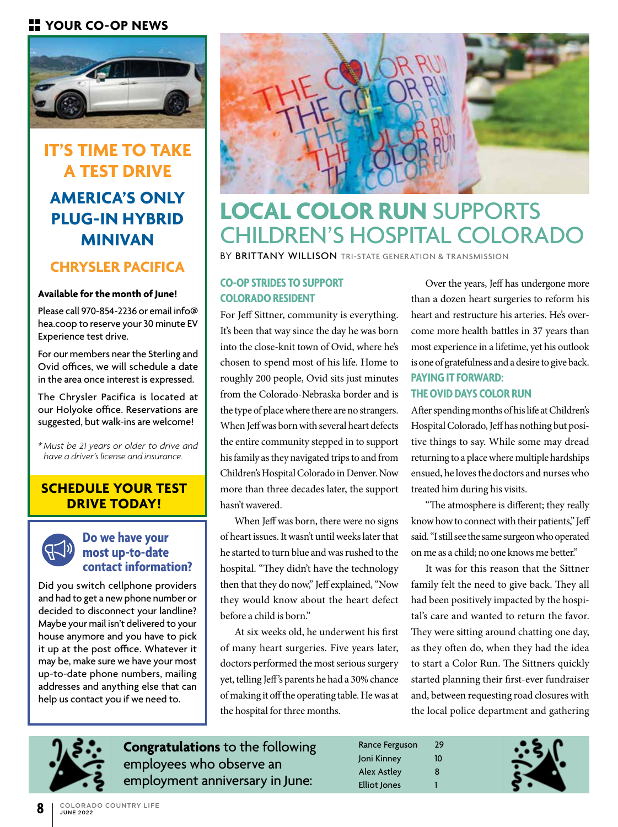# **YOUR CO-OP NEWS**



# **IT'S TIME TO TAKE A TEST DRIVE AMERICA'S ONLY PLUG-IN HYBRID MINIVAN**

# **CHRYSLER PACIFICA**

#### **Available for the month of June!**

Please call 970-854-2236 or email info@ hea.coop to reserve your 30 minute EV Experience test drive.

For our members near the Sterling and Ovid offices, we will schedule a date in the area once interest is expressed.

The Chrysler Pacifica is located at our Holyoke office. Reservations are suggested, but walk-ins are welcome!

*\* Must be 21 years or older to drive and have a driver's license and insurance.*

## **SCHEDULE YOUR TEST DRIVE TODAY!**



### **Do we have your most up-to-date contact information?**

Did you switch cellphone providers and had to get a new phone number or decided to disconnect your landline? Maybe your mail isn't delivered to your house anymore and you have to pick it up at the post office. Whatever it may be, make sure we have your most up-to-date phone numbers, mailing addresses and anything else that can help us contact you if we need to.



# **LOCAL COLOR RUN** SUPPORTS CHILDREN'S HOSPITAL COLORADO

BY BRITTANY WILLISON TRI-STATE GENERATION & TRANSMISSION

### **CO-OP STRIDES TO SUPPORT COLORADO RESIDENT**

For Jeff Sittner, community is everything. It's been that way since the day he was born into the close-knit town of Ovid, where he's chosen to spend most of his life. Home to roughly 200 people, Ovid sits just minutes from the Colorado-Nebraska border and is the type of place where there are no strangers. When Jeff was born with several heart defects the entire community stepped in to support his family as they navigated trips to and from Children's Hospital Colorado in Denver. Now more than three decades later, the support hasn't wavered.

When Jeff was born, there were no signs of heart issues. It wasn't until weeks later that he started to turn blue and was rushed to the hospital. "They didn't have the technology then that they do now," Jeff explained, "Now they would know about the heart defect before a child is born."

At six weeks old, he underwent his first of many heart surgeries. Five years later, doctors performed the most serious surgery yet, telling Jeff's parents he had a 30% chance of making it off the operating table. He was at the hospital for three months.

Over the years, Jeff has undergone more than a dozen heart surgeries to reform his heart and restructure his arteries. He's overcome more health battles in 37 years than most experience in a lifetime, yet his outlook is one of gratefulness and a desire to give back. **PAYING IT FORWARD:** 

### **THE OVID DAYS COLOR RUN**

After spending months of his life at Children's Hospital Colorado, Jeff has nothing but positive things to say. While some may dread returning to a place where multiple hardships ensued, he loves the doctors and nurses who treated him during his visits.

"The atmosphere is different; they really know how to connect with their patients," Jeff said. "I still see the same surgeon who operated on me as a child; no one knows me better."

It was for this reason that the Sittner family felt the need to give back. They all had been positively impacted by the hospital's care and wanted to return the favor. They were sitting around chatting one day, as they often do, when they had the idea to start a Color Run. The Sittners quickly started planning their first-ever fundraiser and, between requesting road closures with the local police department and gathering



**Congratulations** to the following employees who observe an employment anniversary in June:

| Rance Ferguson | 29 |
|----------------|----|
| Joni Kinney    | 10 |
| Alex Astley    | 8  |
| Elliot Jones   | 1  |

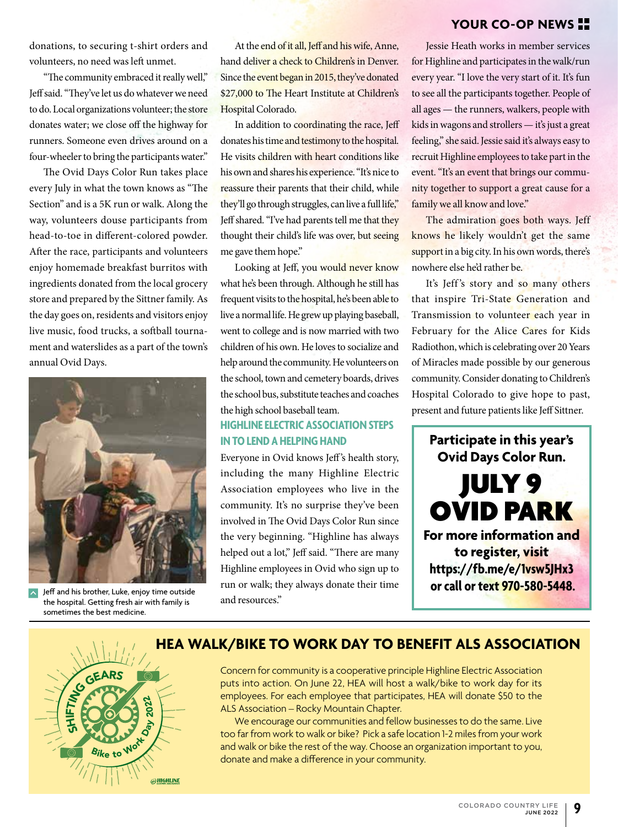### **YOUR CO-OP NEWS**

donations, to securing t-shirt orders and volunteers, no need was left unmet.

"The community embraced it really well," Jeff said. "They've let us do whatever we need to do. Local organizations volunteer; the store donates water; we close off the highway for runners. Someone even drives around on a four-wheeler to bring the participants water."

The Ovid Days Color Run takes place every July in what the town knows as "The Section" and is a 5K run or walk. Along the way, volunteers douse participants from head-to-toe in different-colored powder. After the race, participants and volunteers enjoy homemade breakfast burritos with ingredients donated from the local grocery store and prepared by the Sittner family. As the day goes on, residents and visitors enjoy live music, food trucks, a softball tournament and waterslides as a part of the town's annual Ovid Days.



Jeff and his brother, Luke, enjoy time outside the hospital. Getting fresh air with family is sometimes the best medicine.

At the end of it all, Jeff and his wife, Anne, hand deliver a check to Children's in Denver. Since the event began in 2015, they've donated \$27,000 to The Heart Institute at Children's Hospital Colorado.

In addition to coordinating the race, Jeff donates his time and testimony to the hospital. He visits children with heart conditions like his own and shares his experience. "It's nice to reassure their parents that their child, while they'll go through struggles, can live a full life," Jeff shared. "I've had parents tell me that they thought their child's life was over, but seeing me gave them hope."

Looking at Jeff, you would never know what he's been through. Although he still has frequent visits to the hospital, he's been able to live a normal life. He grew up playing baseball, went to college and is now married with two children of his own. He loves to socialize and help around the community. He volunteers on the school, town and cemetery boards, drives the school bus, substitute teaches and coaches the high school baseball team.

### **HIGHLINE ELECTRIC ASSOCIATION STEPS IN TO LEND A HELPING HAND**

Everyone in Ovid knows Jeff's health story, including the many Highline Electric Association employees who live in the community. It's no surprise they've been involved in The Ovid Days Color Run since the very beginning. "Highline has always helped out a lot," Jeff said. "There are many Highline employees in Ovid who sign up to run or walk; they always donate their time and resources."

Jessie Heath works in member services for Highline and participates in the walk/run every year. "I love the very start of it. It's fun to see all the participants together. People of all ages — the runners, walkers, people with kids in wagons and strollers — it's just a great feeling," she said. Jessie said it's always easy to recruit Highline employees to take part in the event. "It's an event that brings our community together to support a great cause for a family we all know and love."

The admiration goes both ways. Jeff knows he likely wouldn't get the same support in a big city. In his own words, there's nowhere else he'd rather be.

It's Jeff's story and so many others that inspire Tri-State Generation and Transmission to volunteer each year in February for the Alice Cares for Kids Radiothon, which is celebrating over 20 Years of Miracles made possible by our generous community. Consider donating to Children's Hospital Colorado to give hope to past, present and future patients like Jeff Sittner.

**Participate in this year's Ovid Days Color Run.** JULY 9 OVID PARK **For more information and to register, visit https://fb.me/e/1vsw5JHx3 or call or text 970-580-5448.**



# **HEA WALK/BIKE TO WORK DAY TO BENEFIT ALS ASSOCIATION**

Concern for community is a cooperative principle Highline Electric Association puts into action. On June 22, HEA will host a walk/bike to work day for its employees. For each employee that participates, HEA will donate \$50 to the ALS Association – Rocky Mountain Chapter.

We encourage our communities and fellow businesses to do the same. Live too far from work to walk or bike? Pick a safe location 1-2 miles from your work and walk or bike the rest of the way. Choose an organization important to you, donate and make a difference in your community.